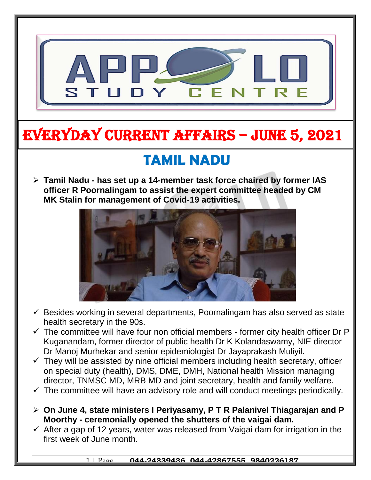

# EVERYDAY CURRENT AFFAIRS – jUNE 5, 2021

-

# **TAMIL NADU**

 **Tamil Nadu - has set up a 14-member task force chaired by former IAS officer R Poornalingam to assist the expert committee headed by CM MK Stalin for management of Covid-19 activities.** 



- $\checkmark$  Besides working in several departments, Poornalingam has also served as state health secretary in the 90s.
- $\checkmark$  The committee will have four non official members former city health officer Dr P Kuganandam, former director of public health Dr K Kolandaswamy, NIE director Dr Manoj Murhekar and senior epidemiologist Dr Jayaprakash Muliyil.
- $\checkmark$  They will be assisted by nine official members including health secretary, officer on special duty (health), DMS, DME, DMH, National health Mission managing director, TNMSC MD, MRB MD and joint secretary, health and family welfare.
- $\checkmark$  The committee will have an advisory role and will conduct meetings periodically.
- **On June 4, state ministers I Periyasamy, P T R Palanivel Thiagarajan and P Moorthy - ceremonially opened the shutters of the vaigai dam.**
- $\checkmark$  After a gap of 12 years, water was released from Vaigai dam for irrigation in the first week of June month.

#### 1 | Page **044-24339436, 044-42867555, 9840226187**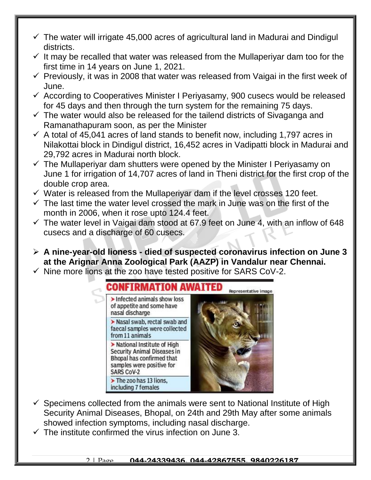- $\checkmark$  The water will irrigate 45,000 acres of agricultural land in Madurai and Dindigul districts.
- $\checkmark$  It may be recalled that water was released from the Mullaperiyar dam too for the first time in 14 years on June 1, 2021.
- $\checkmark$  Previously, it was in 2008 that water was released from Vaigai in the first week of June.
- $\checkmark$  According to Cooperatives Minister I Periyasamy, 900 cusecs would be released for 45 days and then through the turn system for the remaining 75 days.
- $\checkmark$  The water would also be released for the tailend districts of Sivaganga and Ramanathapuram soon, as per the Minister
- $\checkmark$  A total of 45,041 acres of land stands to benefit now, including 1,797 acres in Nilakottai block in Dindigul district, 16,452 acres in Vadipatti block in Madurai and 29,792 acres in Madurai north block.
- $\checkmark$  The Mullaperiyar dam shutters were opened by the Minister I Periyasamy on June 1 for irrigation of 14,707 acres of land in Theni district for the first crop of the double crop area.
- $\checkmark$  Water is released from the Mullaperiyar dam if the level crosses 120 feet.
- $\checkmark$  The last time the water level crossed the mark in June was on the first of the month in 2006, when it rose upto 124.4 feet.
- $\checkmark$  The water level in Vaigai dam stood at 67.9 feet on June 4, with an inflow of 648 cusecs and a discharge of 60 cusecs.
- **A nine-year-old lioness - died of suspected coronavirus infection on June 3 at the Arignar Anna Zoological Park (AAZP) in Vandalur near Chennai.**
- $\checkmark$  Nine more lions at the zoo have tested positive for SARS CoV-2.



- $\checkmark$  Specimens collected from the animals were sent to National Institute of High Security Animal Diseases, Bhopal, on 24th and 29th May after some animals showed infection symptoms, including nasal discharge.
- $\checkmark$  The institute confirmed the virus infection on June 3.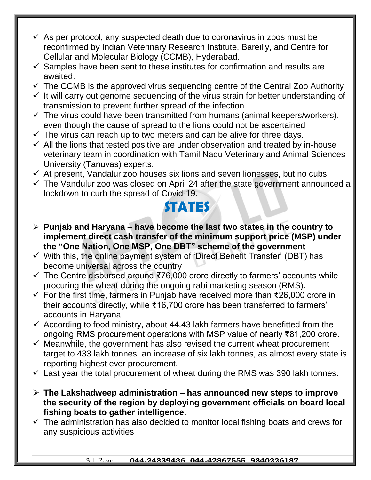- $\checkmark$  As per protocol, any suspected death due to coronavirus in zoos must be reconfirmed by Indian Veterinary Research Institute, Bareilly, and Centre for Cellular and Molecular Biology (CCMB), Hyderabad.
- $\checkmark$  Samples have been sent to these institutes for confirmation and results are awaited.
- $\checkmark$  The CCMB is the approved virus sequencing centre of the Central Zoo Authority
- $\checkmark$  It will carry out genome sequencing of the virus strain for better understanding of transmission to prevent further spread of the infection.
- $\checkmark$  The virus could have been transmitted from humans (animal keepers/workers), even though the cause of spread to the lions could not be ascertained
- $\checkmark$  The virus can reach up to two meters and can be alive for three days.
- $\checkmark$  All the lions that tested positive are under observation and treated by in-house veterinary team in coordination with Tamil Nadu Veterinary and Animal Sciences University (Tanuvas) experts.
- $\checkmark$  At present, Vandalur zoo houses six lions and seven lionesses, but no cubs.
- $\checkmark$  The Vandulur zoo was closed on April 24 after the state government announced a lockdown to curb the spread of Covid-19.

#### **STATES**

- **Punjab and Haryana – have become the last two states in the country to implement direct cash transfer of the minimum support price (MSP) under the "One Nation, One MSP, One DBT" scheme of the government**
- $\checkmark$  With this, the online payment system of 'Direct Benefit Transfer' (DBT) has become universal across the country
- The Centre disbursed around ₹76,000 crore directly to farmers' accounts while procuring the wheat during the ongoing rabi marketing season (RMS).
- For the first time, farmers in Punjab have received more than ₹26,000 crore in their accounts directly, while ₹16,700 crore has been transferred to farmers' accounts in Haryana.
- $\checkmark$  According to food ministry, about 44.43 lakh farmers have benefitted from the ongoing RMS procurement operations with MSP value of nearly ₹81,200 crore.
- $\checkmark$  Meanwhile, the government has also revised the current wheat procurement target to 433 lakh tonnes, an increase of six lakh tonnes, as almost every state is reporting highest ever procurement.
- $\checkmark$  Last year the total procurement of wheat during the RMS was 390 lakh tonnes.
- **The Lakshadweep administration – has announced new steps to improve the security of the region by deploying government officials on board local fishing boats to gather intelligence.**
- $\checkmark$  The administration has also decided to monitor local fishing boats and crews for any suspicious activities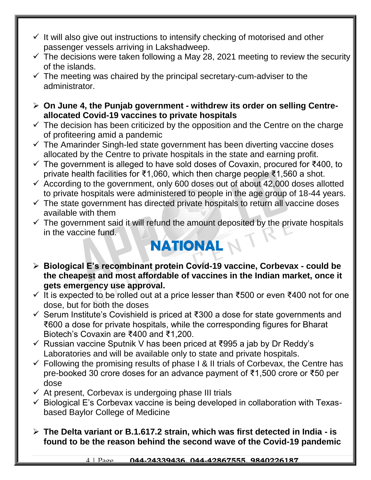- $\checkmark$  It will also give out instructions to intensify checking of motorised and other passenger vessels arriving in Lakshadweep.
- $\checkmark$  The decisions were taken following a May 28, 2021 meeting to review the security of the islands.
- $\checkmark$  The meeting was chaired by the principal secretary-cum-adviser to the administrator.
- **On June 4, the Punjab government - withdrew its order on selling Centreallocated Covid-19 vaccines to private hospitals**
- $\checkmark$  The decision has been criticized by the opposition and the Centre on the charge of profiteering amid a pandemic
- $\checkmark$  The Amarinder Singh-led state government has been diverting vaccine doses allocated by the Centre to private hospitals in the state and earning profit.
- The government is alleged to have sold doses of Covaxin, procured for ₹400, to private health facilities for ₹1,060, which then charge people ₹1,560 a shot.
- $\checkmark$  According to the government, only 600 doses out of about 42,000 doses allotted to private hospitals were administered to people in the age group of 18-44 years.
- $\checkmark$  The state government has directed private hospitals to return all vaccine doses available with them
- $\checkmark$  The government said it will refund the amount deposited by the private hospitals in the vaccine fund.

## **NATIONAL**

- **Biological E's recombinant protein Covid-19 vaccine, Corbevax - could be the cheapest and most affordable of vaccines in the Indian market, once it gets emergency use approval.**
- $\checkmark$  It is expected to be rolled out at a price lesser than ₹500 or even ₹400 not for one dose, but for both the doses
- Serum Institute's Covishield is priced at ₹300 a dose for state governments and ₹600 a dose for private hospitals, while the corresponding figures for Bharat Biotech's Covaxin are ₹400 and ₹1,200.
- Russian vaccine Sputnik V has been priced at ₹995 a jab by Dr Reddy's Laboratories and will be available only to state and private hospitals.
- $\checkmark$  Following the promising results of phase I & II trials of Corbevax, the Centre has pre-booked 30 crore doses for an advance payment of ₹1,500 crore or ₹50 per dose
- $\checkmark$  At present, Corbevax is undergoing phase III trials
- $\checkmark$  Biological E's Corbevax vaccine is being developed in collaboration with Texasbased Baylor College of Medicine
- **The Delta variant or B.1.617.2 strain, which was first detected in India - is found to be the reason behind the second wave of the Covid-19 pandemic**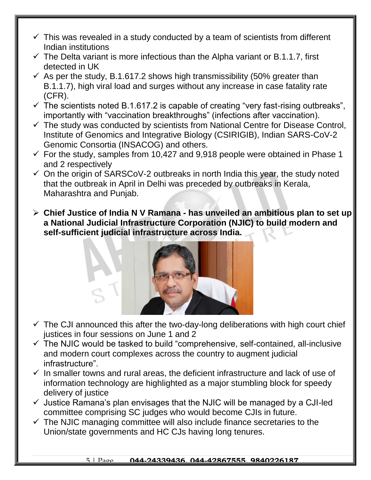- $\checkmark$  This was revealed in a study conducted by a team of scientists from different Indian institutions
- $\checkmark$  The Delta variant is more infectious than the Alpha variant or B.1.1.7, first detected in UK
- $\checkmark$  As per the study, B.1.617.2 shows high transmissibility (50% greater than B.1.1.7), high viral load and surges without any increase in case fatality rate (CFR).
- $\checkmark$  The scientists noted B.1.617.2 is capable of creating "very fast-rising outbreaks", importantly with "vaccination breakthroughs" (infections after vaccination).
- $\checkmark$  The study was conducted by scientists from National Centre for Disease Control, Institute of Genomics and Integrative Biology (CSIRIGIB), Indian SARS-CoV-2 Genomic Consortia (INSACOG) and others.
- $\checkmark$  For the study, samples from 10,427 and 9,918 people were obtained in Phase 1 and 2 respectively
- $\checkmark$  On the origin of SARSCoV-2 outbreaks in north India this year, the study noted that the outbreak in April in Delhi was preceded by outbreaks in Kerala, Maharashtra and Punjab.
- **Chief Justice of India N V Ramana - has unveiled an ambitious plan to set up a National Judicial Infrastructure Corporation (NJIC) to build modern and self-sufficient judicial infrastructure across India.**



- $\checkmark$  The CJI announced this after the two-day-long deliberations with high court chief justices in four sessions on June 1 and 2
- $\checkmark$  The NJIC would be tasked to build "comprehensive, self-contained, all-inclusive and modern court complexes across the country to augment judicial infrastructure".
- $\checkmark$  In smaller towns and rural areas, the deficient infrastructure and lack of use of information technology are highlighted as a major stumbling block for speedy delivery of justice
- $\checkmark$  Justice Ramana's plan envisages that the NJIC will be managed by a CJI-led committee comprising SC judges who would become CJIs in future.
- $\checkmark$  The NJIC managing committee will also include finance secretaries to the Union/state governments and HC CJs having long tenures.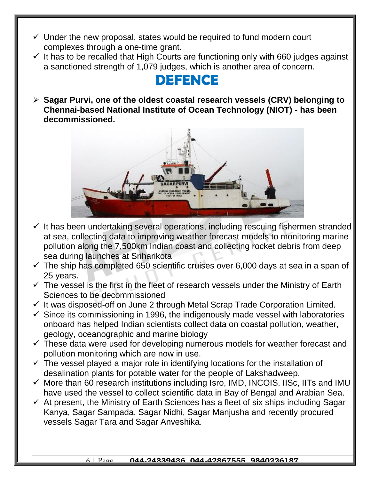- $\checkmark$  Under the new proposal, states would be required to fund modern court complexes through a one-time grant.
- $\checkmark$  It has to be recalled that High Courts are functioning only with 660 judges against a sanctioned strength of 1,079 judges, which is another area of concern.

# **DEFENCE**

 **Sagar Purvi, one of the oldest coastal research vessels (CRV) belonging to Chennai-based National Institute of Ocean Technology (NIOT) - has been decommissioned.**



- $\checkmark$  It has been undertaking several operations, including rescuing fishermen stranded at sea, collecting data to improving weather forecast models to monitoring marine pollution along the 7,500km Indian coast and collecting rocket debris from deep sea during launches at Sriharikota
- $\checkmark$  The ship has completed 650 scientific cruises over 6,000 days at sea in a span of 25 years.
- $\checkmark$  The vessel is the first in the fleet of research vessels under the Ministry of Earth Sciences to be decommissioned
- $\checkmark$  It was disposed-off on June 2 through Metal Scrap Trade Corporation Limited.
- $\checkmark$  Since its commissioning in 1996, the indigenously made vessel with laboratories onboard has helped Indian scientists collect data on coastal pollution, weather, geology, oceanographic and marine biology
- $\checkmark$  These data were used for developing numerous models for weather forecast and pollution monitoring which are now in use.
- $\checkmark$  The vessel played a major role in identifying locations for the installation of desalination plants for potable water for the people of Lakshadweep.
- $\checkmark$  More than 60 research institutions including Isro, IMD, INCOIS, IISc, IITs and IMU have used the vessel to collect scientific data in Bay of Bengal and Arabian Sea.
- $\checkmark$  At present, the Ministry of Earth Sciences has a fleet of six ships including Sagar Kanya, Sagar Sampada, Sagar Nidhi, Sagar Manjusha and recently procured vessels Sagar Tara and Sagar Anveshika.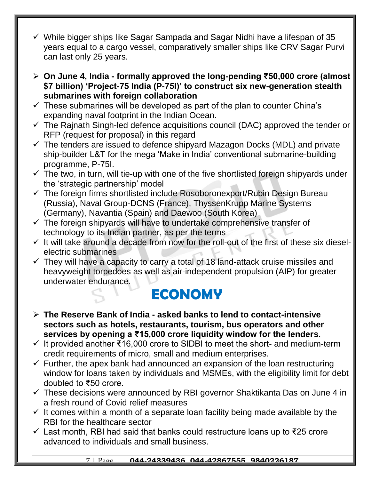- $\checkmark$  While bigger ships like Sagar Sampada and Sagar Nidhi have a lifespan of 35 years equal to a cargo vessel, comparatively smaller ships like CRV Sagar Purvi can last only 25 years.
- **On June 4, India - formally approved the long-pending ₹50,000 crore (almost \$7 billion) 'Project-75 India (P-75I)' to construct six new-generation stealth submarines with foreign collaboration**
- $\checkmark$  These submarines will be developed as part of the plan to counter China's expanding naval footprint in the Indian Ocean.
- $\checkmark$  The Rajnath Singh-led defence acquisitions council (DAC) approved the tender or RFP (request for proposal) in this regard
- $\checkmark$  The tenders are issued to defence shipyard Mazagon Docks (MDL) and private ship-builder L&T for the mega 'Make in India' conventional submarine-building programme, P-75I.
- $\checkmark$  The two, in turn, will tie-up with one of the five shortlisted foreign shipyards under the 'strategic partnership' model
- $\checkmark$  The foreign firms shortlisted include Rosoboronexport/Rubin Design Bureau (Russia), Naval Group-DCNS (France), ThyssenKrupp Marine Systems (Germany), Navantia (Spain) and Daewoo (South Korea)
- $\checkmark$  The foreign shipyards will have to undertake comprehensive transfer of technology to its Indian partner, as per the terms
- $\checkmark$  It will take around a decade from now for the roll-out of the first of these six dieselelectric submarines
- $\checkmark$  They will have a capacity to carry a total of 18 land-attack cruise missiles and heavyweight torpedoes as well as air-independent propulsion (AIP) for greater underwater endurance.

#### **ECONOMY**

- **The Reserve Bank of India - asked banks to lend to contact-intensive sectors such as hotels, restaurants, tourism, bus operators and other services by opening a ₹15,000 crore liquidity window for the lenders.**
- $\checkmark$  It provided another ₹16,000 crore to SIDBI to meet the short- and medium-term credit requirements of micro, small and medium enterprises.
- $\checkmark$  Further, the apex bank had announced an expansion of the loan restructuring window for loans taken by individuals and MSMEs, with the eligibility limit for debt doubled to ₹50 crore.
- $\checkmark$  These decisions were announced by RBI governor Shaktikanta Das on June 4 in a fresh round of Covid relief measures
- $\checkmark$  It comes within a month of a separate loan facility being made available by the RBI for the healthcare sector
- Last month, RBI had said that banks could restructure loans up to ₹25 crore advanced to individuals and small business.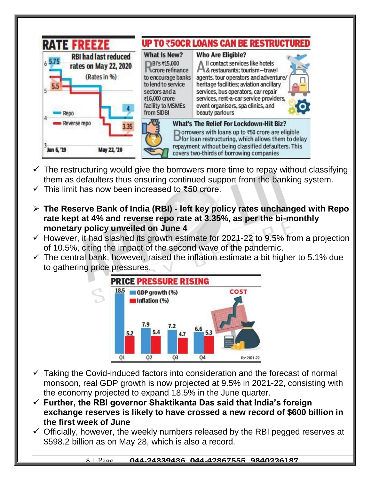

- $\checkmark$  The restructuring would give the borrowers more time to repay without classifying them as defaulters thus ensuring continued support from the banking system.
- This limit has now been increased to ₹50 crore.
- **The Reserve Bank of India (RBI) - left key policy rates unchanged with Repo rate kept at 4% and reverse repo rate at 3.35%, as per the bi-monthly monetary policy unveiled on June 4**
- $\checkmark$  However, it had slashed its growth estimate for 2021-22 to 9.5% from a projection of 10.5%, citing the impact of the second wave of the pandemic.
- $\checkmark$  The central bank, however, raised the inflation estimate a bit higher to 5.1% due to gathering price pressures.



- $\checkmark$  Taking the Covid-induced factors into consideration and the forecast of normal monsoon, real GDP growth is now projected at 9.5% in 2021-22, consisting with the economy projected to expand 18.5% in the June quarter.
- **Further, the RBI governor Shaktikanta Das said that India's foreign exchange reserves is likely to have crossed a new record of \$600 billion in the first week of June**
- $\checkmark$  Officially, however, the weekly numbers released by the RBI pegged reserves at \$598.2 billion as on May 28, which is also a record.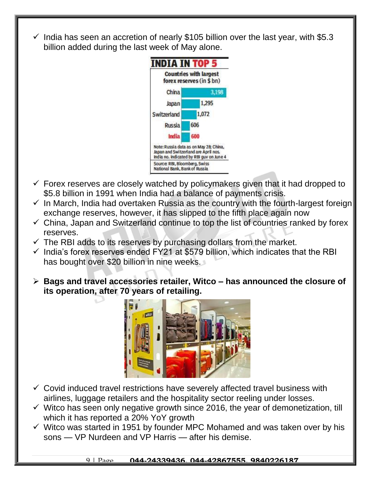$\checkmark$  India has seen an accretion of nearly \$105 billion over the last year, with \$5.3 billion added during the last week of May alone.



- $\checkmark$  Forex reserves are closely watched by policymakers given that it had dropped to \$5.8 billion in 1991 when India had a balance of payments crisis.
- $\checkmark$  In March, India had overtaken Russia as the country with the fourth-largest foreign exchange reserves, however, it has slipped to the fifth place again now
- $\checkmark$  China, Japan and Switzerland continue to top the list of countries ranked by forex reserves.
- $\checkmark$  The RBI adds to its reserves by purchasing dollars from the market.
- $\checkmark$  India's forex reserves ended FY21 at \$579 billion, which indicates that the RBI has bought over \$20 billion in nine weeks.
- **Bags and travel accessories retailer, Witco – has announced the closure of its operation, after 70 years of retailing.**



- $\checkmark$  Covid induced travel restrictions have severely affected travel business with airlines, luggage retailers and the hospitality sector reeling under losses.
- $\checkmark$  Witco has seen only negative growth since 2016, the year of demonetization, till which it has reported a 20% YoY growth
- $\checkmark$  Witco was started in 1951 by founder MPC Mohamed and was taken over by his sons — VP Nurdeen and VP Harris — after his demise.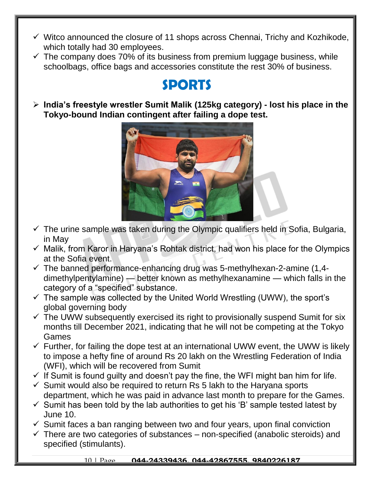- $\checkmark$  Witco announced the closure of 11 shops across Chennai, Trichy and Kozhikode, which totally had 30 employees.
- $\checkmark$  The company does 70% of its business from premium luggage business, while schoolbags, office bags and accessories constitute the rest 30% of business.

#### **SPORTS**

 **India's freestyle wrestler Sumit Malik (125kg category) - lost his place in the Tokyo-bound Indian contingent after failing a dope test.** 



- $\checkmark$  The urine sample was taken during the Olympic qualifiers held in Sofia, Bulgaria, in May
- $\checkmark$  Malik, from Karor in Haryana's Rohtak district, had won his place for the Olympics at the Sofia event.
- $\checkmark$  The banned performance-enhancing drug was 5-methylhexan-2-amine (1,4dimethylpentylamine) — better known as methylhexanamine — which falls in the category of a "specified" substance.
- $\checkmark$  The sample was collected by the United World Wrestling (UWW), the sport's global governing body
- $\checkmark$  The UWW subsequently exercised its right to provisionally suspend Sumit for six months till December 2021, indicating that he will not be competing at the Tokyo Games
- $\checkmark$  Further, for failing the dope test at an international UWW event, the UWW is likely to impose a hefty fine of around Rs 20 lakh on the Wrestling Federation of India (WFI), which will be recovered from Sumit
- $\checkmark$  If Sumit is found guilty and doesn't pay the fine, the WFI might ban him for life.
- $\checkmark$  Sumit would also be required to return Rs 5 lakh to the Haryana sports department, which he was paid in advance last month to prepare for the Games.
- $\checkmark$  Sumit has been told by the lab authorities to get his 'B' sample tested latest by June 10.
- $\checkmark$  Sumit faces a ban ranging between two and four years, upon final conviction
- $\checkmark$  There are two categories of substances non-specified (anabolic steroids) and specified (stimulants).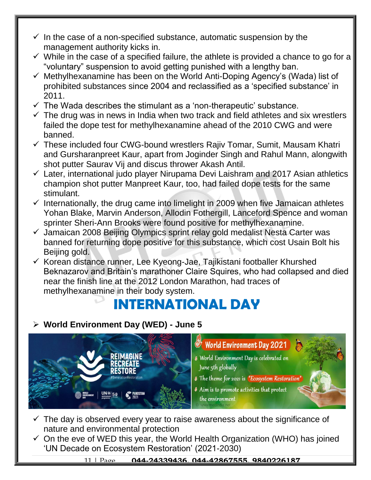- $\checkmark$  In the case of a non-specified substance, automatic suspension by the management authority kicks in.
- $\checkmark$  While in the case of a specified failure, the athlete is provided a chance to go for a "voluntary" suspension to avoid getting punished with a lengthy ban.
- $\checkmark$  Methylhexanamine has been on the World Anti-Doping Agency's (Wada) list of prohibited substances since 2004 and reclassified as a 'specified substance' in 2011.
- $\checkmark$  The Wada describes the stimulant as a 'non-therapeutic' substance.
- $\checkmark$  The drug was in news in India when two track and field athletes and six wrestlers failed the dope test for methylhexanamine ahead of the 2010 CWG and were banned.
- $\checkmark$  These included four CWG-bound wrestlers Rajiv Tomar, Sumit, Mausam Khatri and Gursharanpreet Kaur, apart from Joginder Singh and Rahul Mann, alongwith shot putter Saurav Vij and discus thrower Akash Antil.
- $\checkmark$  Later, international judo player Nirupama Devi Laishram and 2017 Asian athletics champion shot putter Manpreet Kaur, too, had failed dope tests for the same stimulant.
- $\checkmark$  Internationally, the drug came into limelight in 2009 when five Jamaican athletes Yohan Blake, Marvin Anderson, Allodin Fothergill, Lanceford Spence and woman sprinter Sheri-Ann Brooks were found positive for methylhexanamine.
- $\checkmark$  Jamaican 2008 Beijing Olympics sprint relay gold medalist Nesta Carter was banned for returning dope positive for this substance, which cost Usain Bolt his Beijing gold.
- $\checkmark$  Korean distance runner, Lee Kyeong-Jae, Tajikistani footballer Khurshed Beknazarov and Britain's marathoner Claire Squires, who had collapsed and died near the finish line at the 2012 London Marathon, had traces of methylhexanamine in their body system.

## **INTERNATIONAL DAY**

#### **World Environment Day (WED) - June 5**



- World Environment Day 2021
- <sup>®</sup> World Environment Day is celebrated on June 5th globally
- **& The theme for 2021 is "Ecosystem Restoration**"
- 4 Aim is to promote activities that protect the environment
- $\checkmark$  The day is observed every year to raise awareness about the significance of nature and environmental protection
- $\checkmark$  On the eve of WED this year, the World Health Organization (WHO) has joined 'UN Decade on Ecosystem Restoration' (2021-2030)